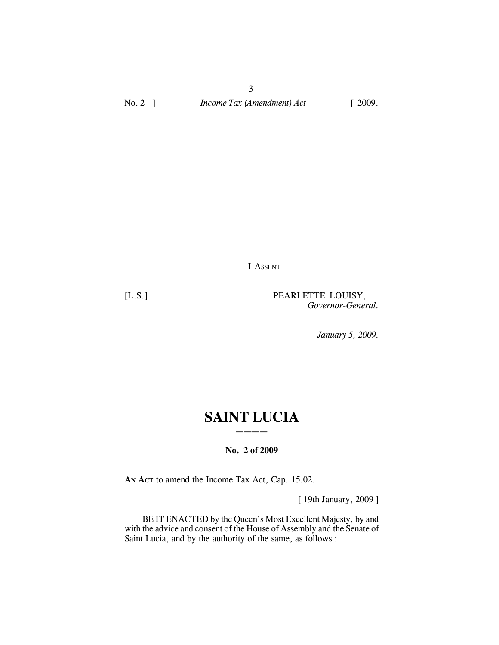3 No. 2 ] *Income Tax (Amendment) Act* [ 2009.

I ASSENT

[L.S.] PEARLETTE LOUISY, *Governor-General.*

*January 5, 2009.*

# **SAINT LUCIA ————**

# **No. 2 of 2009**

**AN ACT** to amend the Income Tax Act, Cap. 15.02.

[ 19th January, 2009 ]

BE IT ENACTED by the Queen's Most Excellent Majesty, by and with the advice and consent of the House of Assembly and the Senate of Saint Lucia, and by the authority of the same, as follows :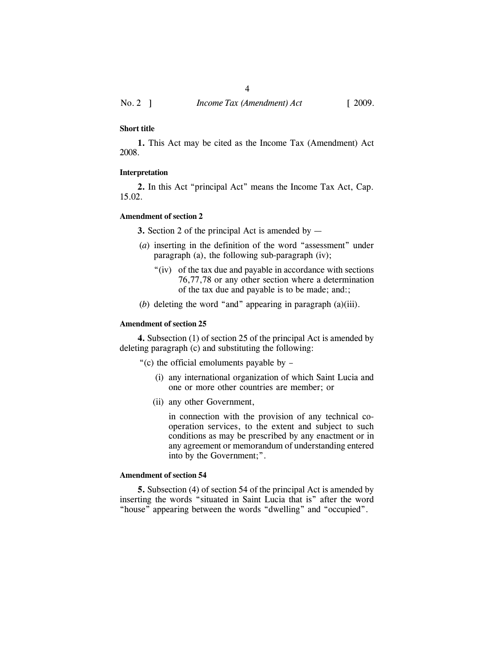## **Short title**

**1.** This Act may be cited as the Income Tax (Amendment) Act 2008.

#### **Interpretation**

**2.** In this Act "principal Act" means the Income Tax Act, Cap. 15.02.

## **Amendment of section 2**

**3.** Section 2 of the principal Act is amended by —

- (*a*) inserting in the definition of the word "assessment" under paragraph (a), the following sub-paragraph (iv);
	- "(iv) of the tax due and payable in accordance with sections 76,77,78 or any other section where a determination of the tax due and payable is to be made; and:;
- (*b*) deleting the word "and" appearing in paragraph (a)(iii).

## **Amendment of section 25**

**4.** Subsection (1) of section 25 of the principal Act is amended by deleting paragraph (c) and substituting the following:

"(c) the official emoluments payable by –

- (i) any international organization of which Saint Lucia and one or more other countries are member; or
- (ii) any other Government,

in connection with the provision of any technical cooperation services, to the extent and subject to such conditions as may be prescribed by any enactment or in any agreement or memorandum of understanding entered into by the Government;".

## **Amendment of section 54**

**5.** Subsection (4) of section 54 of the principal Act is amended by inserting the words "situated in Saint Lucia that is" after the word "house" appearing between the words "dwelling" and "occupied".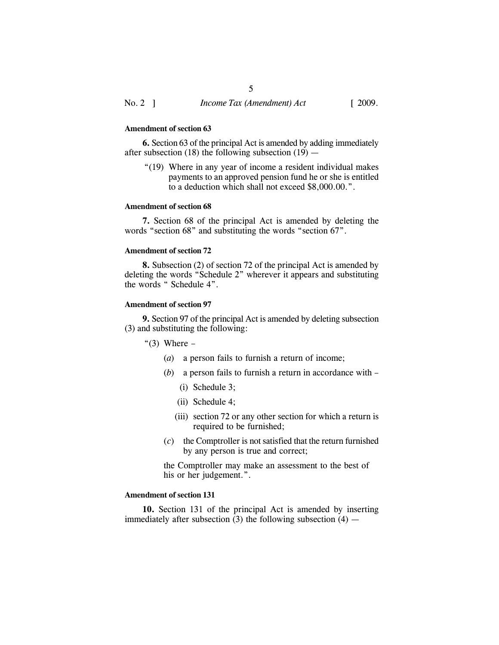#### **Amendment of section 63**

**6.** Section 63 of the principal Act is amended by adding immediately after subsection (18) the following subsection (19)  $-$ 

"(19) Where in any year of income a resident individual makes payments to an approved pension fund he or she is entitled to a deduction which shall not exceed \$8,000.00.".

### **Amendment of section 68**

**7.** Section 68 of the principal Act is amended by deleting the words "section 68" and substituting the words "section 67".

## **Amendment of section 72**

**8.** Subsection (2) of section 72 of the principal Act is amended by deleting the words "Schedule 2" wherever it appears and substituting the words " Schedule 4".

# **Amendment of section 97**

**9.** Section 97 of the principal Act is amended by deleting subsection (3) and substituting the following:

" $(3)$  Where –

- (*a*) a person fails to furnish a return of income;
- (*b*) a person fails to furnish a return in accordance with
	- (i) Schedule 3;
	- (ii) Schedule 4;
	- (iii) section 72 or any other section for which a return is required to be furnished;
- (*c*) the Comptroller is not satisfied that the return furnished by any person is true and correct;

the Comptroller may make an assessment to the best of his or her judgement.".

## **Amendment of section 131**

**10.** Section 131 of the principal Act is amended by inserting immediately after subsection  $(3)$  the following subsection  $(4)$  —